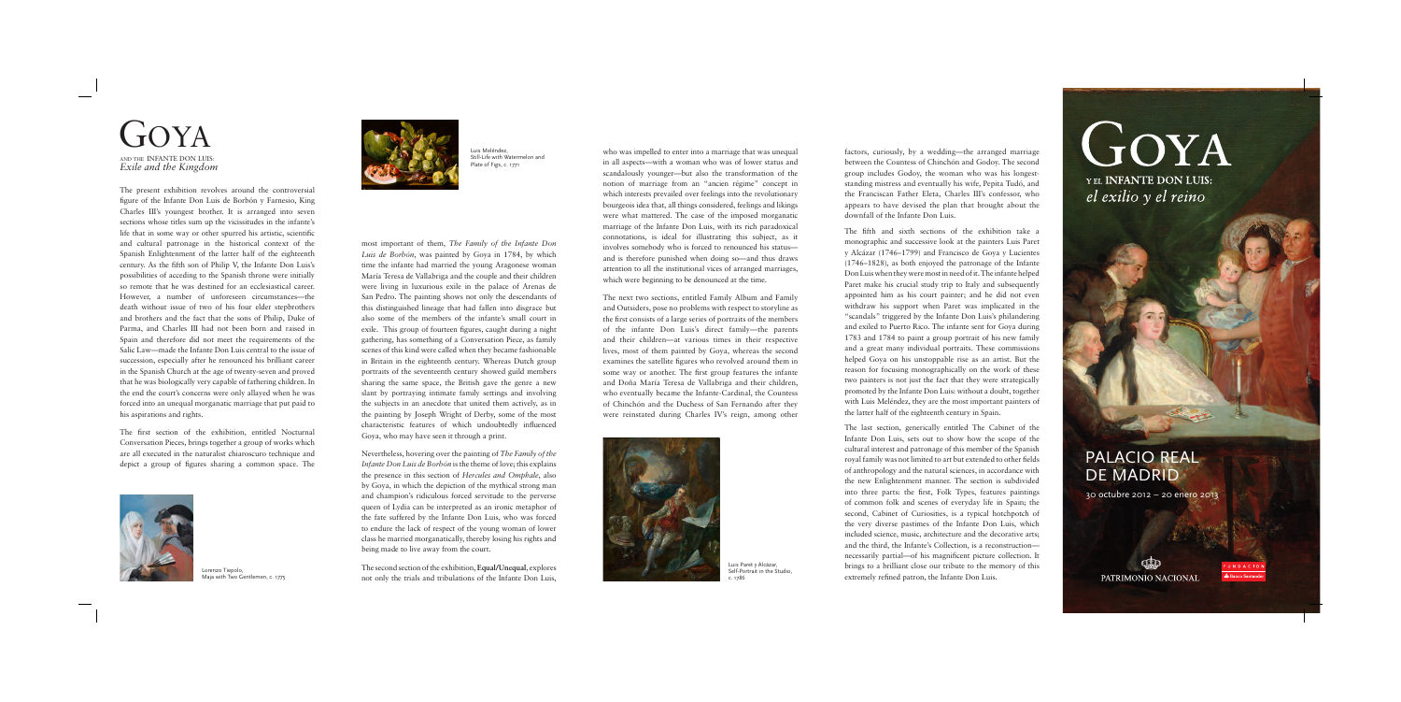## PALACIO REAL DE MADRID

30 octubre 2012 – 20 enero 2013



UNDACIO Banco Santando

The present exhibition revolves around the controversial figure of the Infante Don Luis de Borbón y Farnesio, King Charles III's youngest brother. It is arranged into seven sections whose titles sum up the vicissitudes in the infante's life that in some way or other spurred his artistic, scientific and cultural patronage in the historical context of the Spanish Enlightenment of the latter half of the eighteenth century. As the fifth son of Philip V, the Infante Don Luis's possibilities of acceding to the Spanish throne were initially so remote that he was destined for an ecclesiastical career. However, a number of unforeseen circumstances—the death without issue of two of his four elder stepbrothers and brothers and the fact that the sons of Philip, Duke of Parma, and Charles III had not been born and raised in Spain and therefore did not meet the requirements of the Salic Law—made the Infante Don Luis central to the issue of succession, especially after he renounced his brilliant career in the Spanish Church at the age of twenty-seven and proved that he was biologically very capable of fathering children. In the end the court's concerns were only allayed when he was forced into an unequal morganatic marriage that put paid to his aspirations and rights.

The first section of the exhibition, entitled Nocturnal Conversation Pieces, brings together a group of works which are all executed in the naturalist chiaroscuro technique and depict a group of figures sharing a common space. The most important of them, *The Family of the Infante Don Luis de Borbón*, was painted by Goya in 1784, by which time the infante had married the young Aragonese woman María Teresa de Vallabriga and the couple and their children were living in luxurious exile in the palace of Arenas de San Pedro. The painting shows not only the descendants of this distinguished lineage that had fallen into disgrace but also some of the members of the infante's small court in exile. This group of fourteen figures, caught during a night gathering, has something of a Conversation Piece, as family scenes of this kind were called when they became fashionable in Britain in the eighteenth century. Whereas Dutch group portraits of the seventeenth century showed guild members sharing the same space, the British gave the genre a new slant by portraying intimate family settings and involving the subjects in an anecdote that united them actively, as in the painting by Joseph Wright of Derby, some of the most characteristic features of which undoubtedly influenced Goya, who may have seen it through a print.

Nevertheless, hovering over the painting of *The Family of the Infante Don Luis de Borbón* is the theme of love; this explains the presence in this section of *Hercules and Omphale*, also by Goya, in which the depiction of the mythical strong man and champion's ridiculous forced servitude to the perverse queen of Lydia can be interpreted as an ironic metaphor of the fate suffered by the Infante Don Luis, who was forced to endure the lack of respect of the young woman of lower class he married morganatically, thereby losing his rights and being made to live away from the court.

The second section of the exhibition, **Equal/Unequal**, explores not only the trials and tribulations of the Infante Don Luis,

 $G(YA)$ *Exile and the Kingdom* AND THE INFANTE DON LUIS:

who was impelled to enter into a marriage that was unequal in all aspects—with a woman who was of lower status and scandalously younger—but also the transformation of the notion of marriage from an "ancien régime" concept in which interests prevailed over feelings into the revolutionary bourgeois idea that, all things considered, feelings and likings were what mattered. The case of the imposed morganatic marriage of the Infante Don Luis, with its rich paradoxical connotations, is ideal for illustrating this subject, as it involves somebody who is forced to renounced his status and is therefore punished when doing so—and thus draws attention to all the institutional vices of arranged marriages, which were beginning to be denounced at the time.

The next two sections, entitled Family Album and Family and Outsiders, pose no problems with respect to storyline as the first consists of a large series of portraits of the members of the infante Don Luis's direct family—the parents and their children—at various times in their respective lives, most of them painted by Goya, whereas the second examines the satellite figures who revolved around them in some way or another. The first group features the infante and Doña María Teresa de Vallabriga and their children, who eventually became the Infante-Cardinal, the Countess of Chinchón and the Duchess of San Fernando after they were reinstated during Charles IV's reign, among other



factors, curiously, by a wedding—the arranged marriage between the Countess of Chinchón and Godoy. The second group includes Godoy, the woman who was his longeststanding mistress and eventually his wife, Pepita Tudó, and the Franciscan Father Eleta, Charles III's confessor, who appears to have devised the plan that brought about the downfall of the Infante Don Luis.

The fifth and sixth sections of the exhibition take a monographic and successive look at the painters Luis Paret y Alcázar (1746–1799) and Francisco de Goya y Lucientes (1746–1828), as both enjoyed the patronage of the Infante Don Luis when they were most in need of it. The infante helped Paret make his crucial study trip to Italy and subsequently appointed him as his court painter; and he did not even withdraw his support when Paret was implicated in the "scandals" triggered by the Infante Don Luis's philandering and exiled to Puerto Rico. The infante sent for Goya during 1783 and 1784 to paint a group portrait of his new family and a great many individual portraits. These commissions helped Goya on his unstoppable rise as an artist. But the reason for focusing monographically on the work of these two painters is not just the fact that they were strategically promoted by the Infante Don Luis: without a doubt, together with Luis Meléndez, they are the most important painters of the latter half of the eighteenth century in Spain.

The last section, generically entitled The Cabinet of the Infante Don Luis, sets out to show how the scope of the cultural interest and patronage of this member of the Spanish royal family was not limited to art but extended to other fields of anthropology and the natural sciences, in accordance with the new Enlightenment manner. The section is subdivided into three parts: the first, Folk Types, features paintings of common folk and scenes of everyday life in Spain; the second, Cabinet of Curiosities, is a typical hotchpotch of the very diverse pastimes of the Infante Don Luis, which included science, music, architecture and the decorative arts; and the third, the Infante's Collection, is a reconstruction necessarily partial—of his magnificent picture collection. It brings to a brilliant close our tribute to the memory of this extremely refined patron, the Infante Don Luis.

## GOYA

YEL **INFANTE DON LUIS:** el exilio y el reino



Lorenzo Tiepolo, Maja with Two Gentlemen, c. 1775



Luis Meléndez, Still-Life with Watermelon and Plate of Figs, c. 1771

Luis Paret y Alcázar, Self-Portrait in the Studio, c. 1786